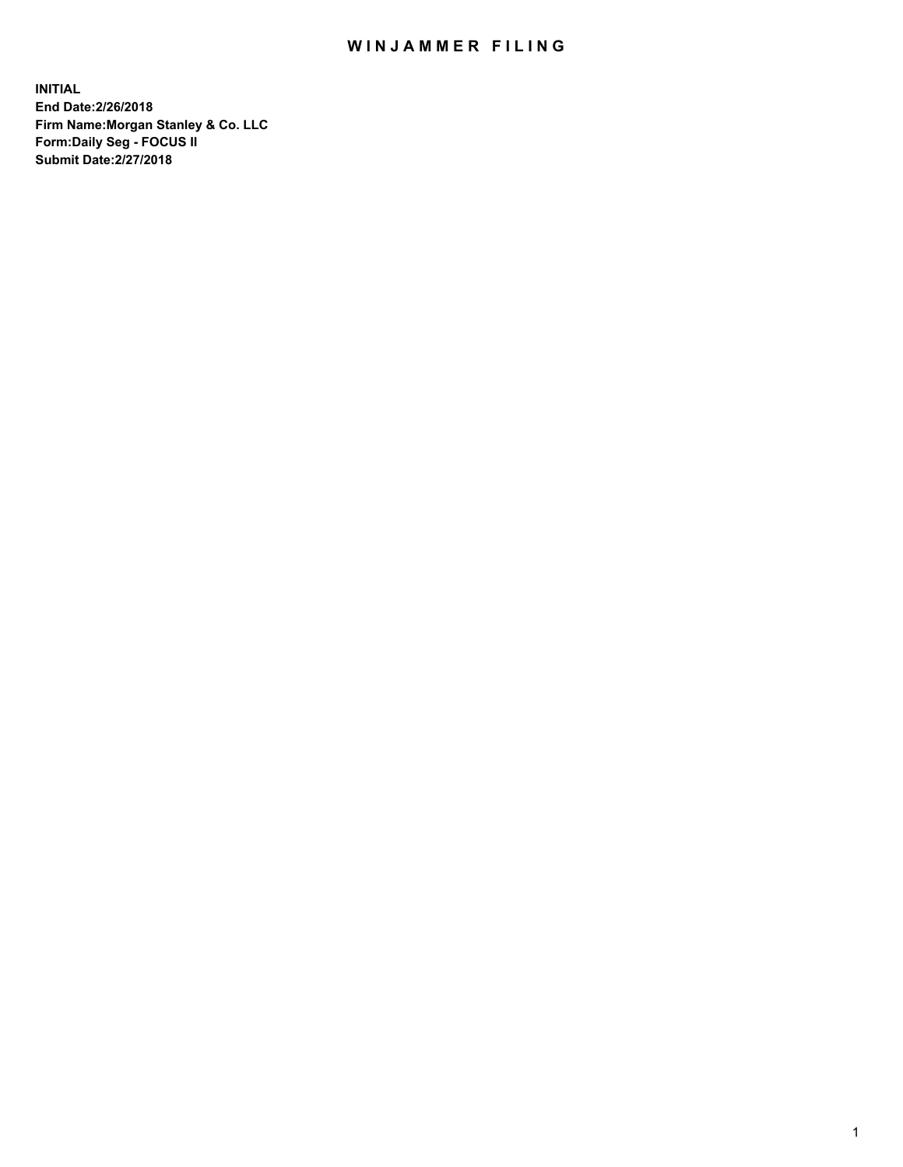## WIN JAMMER FILING

**INITIAL End Date:2/26/2018 Firm Name:Morgan Stanley & Co. LLC Form:Daily Seg - FOCUS II Submit Date:2/27/2018**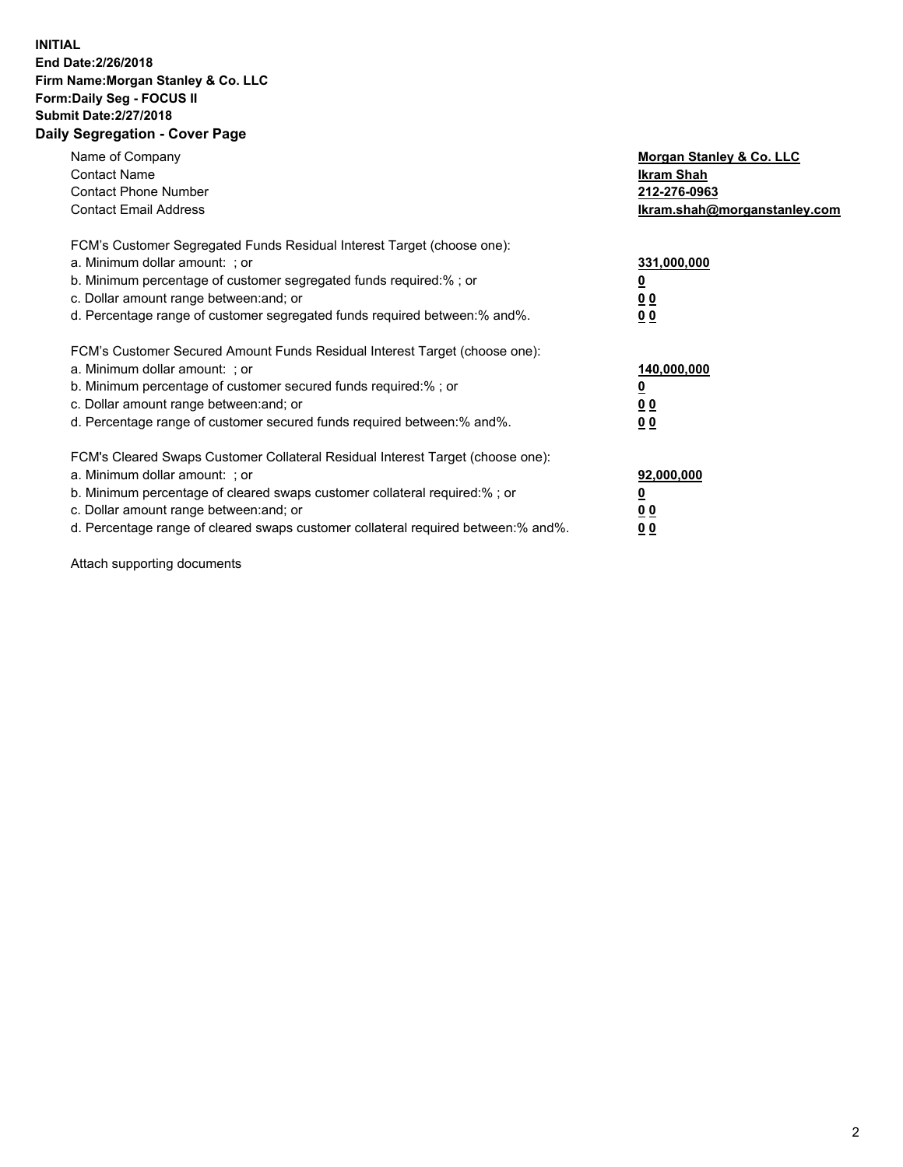## **INITIAL End Date:2/26/2018 Firm Name:Morgan Stanley & Co. LLC Form:Daily Seg - FOCUS II Submit Date:2/27/2018 Daily Segregation - Cover Page**

| Name of Company<br><b>Contact Name</b><br><b>Contact Phone Number</b><br><b>Contact Email Address</b>                                                                                                                                                                                                                         | Morgan Stanley & Co. LLC<br>Ikram Shah<br>212-276-0963<br>lkram.shah@morganstanley.com |
|-------------------------------------------------------------------------------------------------------------------------------------------------------------------------------------------------------------------------------------------------------------------------------------------------------------------------------|----------------------------------------------------------------------------------------|
| FCM's Customer Segregated Funds Residual Interest Target (choose one):<br>a. Minimum dollar amount: ; or<br>b. Minimum percentage of customer segregated funds required:%; or<br>c. Dollar amount range between: and; or<br>d. Percentage range of customer segregated funds required between:% and%.                         | 331,000,000<br>0 <sub>0</sub><br>00                                                    |
| FCM's Customer Secured Amount Funds Residual Interest Target (choose one):<br>a. Minimum dollar amount: ; or<br>b. Minimum percentage of customer secured funds required:%; or<br>c. Dollar amount range between: and; or<br>d. Percentage range of customer secured funds required between:% and%.                           | 140,000,000<br>0 <sub>0</sub><br>0 <sub>0</sub>                                        |
| FCM's Cleared Swaps Customer Collateral Residual Interest Target (choose one):<br>a. Minimum dollar amount: ; or<br>b. Minimum percentage of cleared swaps customer collateral required:%; or<br>c. Dollar amount range between: and; or<br>d. Percentage range of cleared swaps customer collateral required between:% and%. | 92,000,000<br>0 <sub>0</sub><br><u>00</u>                                              |

Attach supporting documents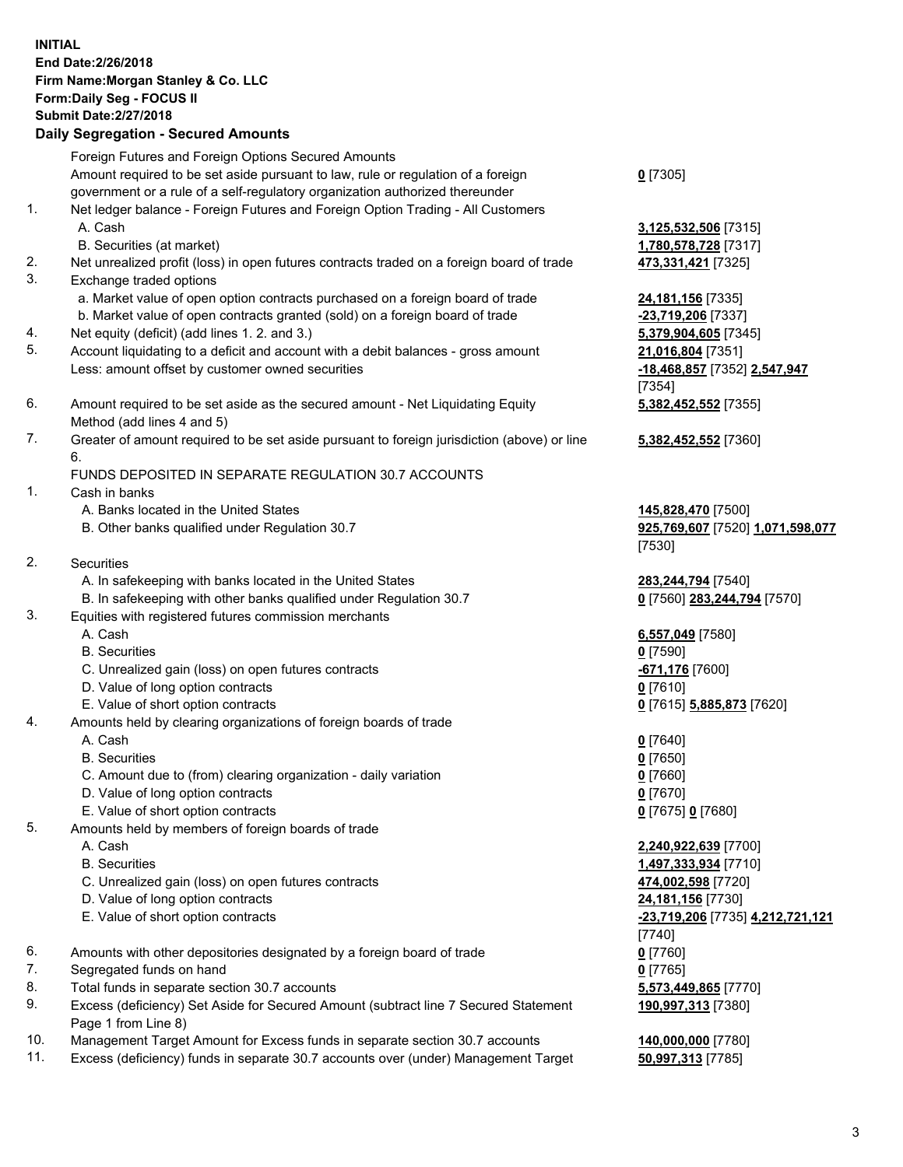## **INITIAL End Date:2/26/2018 Firm Name:Morgan Stanley & Co. LLC Form:Daily Seg - FOCUS II Submit Date:2/27/2018 Daily Segregation - Secured Amounts**

Foreign Futures and Foreign Options Secured Amounts Amount required to be set aside pursuant to law, rule or regulation of a foreign government or a rule of a self-regulatory organization authorized thereunder 1. Net ledger balance - Foreign Futures and Foreign Option Trading - All Customers

- A. Cash **3,125,532,506** [7315]
	- B. Securities (at market) **1,780,578,728** [7317]
- 2. Net unrealized profit (loss) in open futures contracts traded on a foreign board of trade **473,331,421** [7325]
- 3. Exchange traded options
	- a. Market value of open option contracts purchased on a foreign board of trade **24,181,156** [7335]
	- b. Market value of open contracts granted (sold) on a foreign board of trade **-23,719,206** [7337]
- 4. Net equity (deficit) (add lines 1. 2. and 3.) **5,379,904,605** [7345]
- 5. Account liquidating to a deficit and account with a debit balances gross amount **21,016,804** [7351] Less: amount offset by customer owned securities **-18,468,857** [7352] **2,547,947**
- 6. Amount required to be set aside as the secured amount Net Liquidating Equity Method (add lines 4 and 5)
- 7. Greater of amount required to be set aside pursuant to foreign jurisdiction (above) or line 6.

## FUNDS DEPOSITED IN SEPARATE REGULATION 30.7 ACCOUNTS

- 1. Cash in banks
	- A. Banks located in the United States **145,828,470** [7500]
	- B. Other banks qualified under Regulation 30.7 **925,769,607** [7520] **1,071,598,077**
- 2. Securities
	- A. In safekeeping with banks located in the United States **283,244,794** [7540]
	- B. In safekeeping with other banks qualified under Regulation 30.7 **0** [7560] **283,244,794** [7570]
- 3. Equities with registered futures commission merchants
	-
	-
	- C. Unrealized gain (loss) on open futures contracts **-671,176** [7600]
	- D. Value of long option contracts **0** [7610]
- E. Value of short option contracts **0** [7615] **5,885,873** [7620]
- 4. Amounts held by clearing organizations of foreign boards of trade
	-
	-
	- C. Amount due to (from) clearing organization daily variation **0** [7660]
	- D. Value of long option contracts **0** [7670]
	- E. Value of short option contracts **0** [7675] **0** [7680]
- 5. Amounts held by members of foreign boards of trade
	-
	-
	- C. Unrealized gain (loss) on open futures contracts **474,002,598** [7720]
	- D. Value of long option contracts **24,181,156** [7730]
	- E. Value of short option contracts **-23,719,206** [7735] **4,212,721,121**
- 6. Amounts with other depositories designated by a foreign board of trade **0** [7760]
- 7. Segregated funds on hand **0** [7765]
- 8. Total funds in separate section 30.7 accounts **5,573,449,865** [7770]
- 9. Excess (deficiency) Set Aside for Secured Amount (subtract line 7 Secured Statement Page 1 from Line 8)
- 10. Management Target Amount for Excess funds in separate section 30.7 accounts **140,000,000** [7780]
- 11. Excess (deficiency) funds in separate 30.7 accounts over (under) Management Target **50,997,313** [7785]

**0** [7305]

[7354] **5,382,452,552** [7355]

**5,382,452,552** [7360]

[7530]

 A. Cash **6,557,049** [7580] B. Securities **0** [7590]

 A. Cash **0** [7640] B. Securities **0** [7650]

 A. Cash **2,240,922,639** [7700] B. Securities **1,497,333,934** [7710] [7740] **190,997,313** [7380]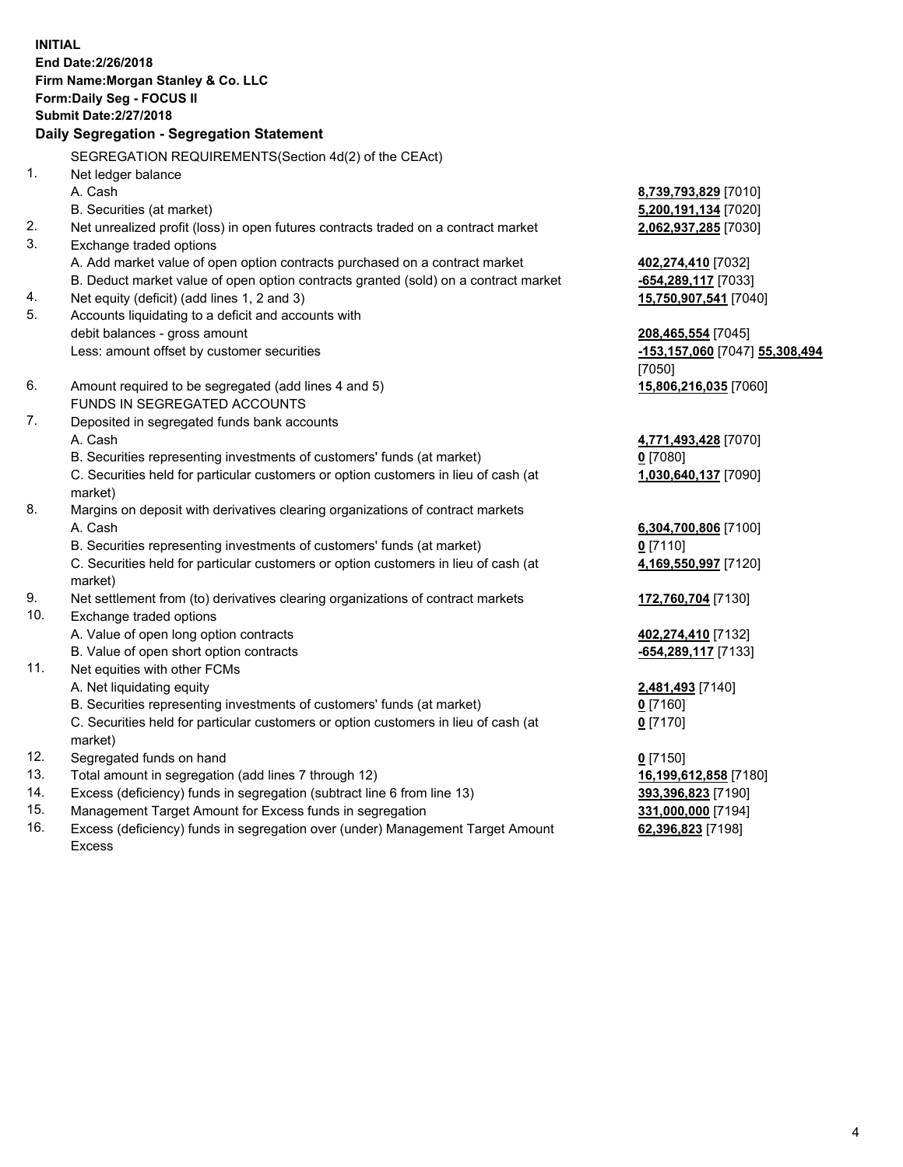**INITIAL End Date:2/26/2018 Firm Name:Morgan Stanley & Co. LLC Form:Daily Seg - FOCUS II Submit Date:2/27/2018 Daily Segregation - Segregation Statement** SEGREGATION REQUIREMENTS(Section 4d(2) of the CEAct) 1. Net ledger balance A. Cash **8,739,793,829** [7010] B. Securities (at market) **5,200,191,134** [7020] 2. Net unrealized profit (loss) in open futures contracts traded on a contract market **2,062,937,285** [7030] 3. Exchange traded options A. Add market value of open option contracts purchased on a contract market **402,274,410** [7032] B. Deduct market value of open option contracts granted (sold) on a contract market **-654,289,117** [7033] 4. Net equity (deficit) (add lines 1, 2 and 3) **15,750,907,541** [7040] 5. Accounts liquidating to a deficit and accounts with debit balances - gross amount **208,465,554** [7045] Less: amount offset by customer securities **-153,157,060** [7047] **55,308,494** [7050] 6. Amount required to be segregated (add lines 4 and 5) **15,806,216,035** [7060] FUNDS IN SEGREGATED ACCOUNTS 7. Deposited in segregated funds bank accounts A. Cash **4,771,493,428** [7070] B. Securities representing investments of customers' funds (at market) **0** [7080] C. Securities held for particular customers or option customers in lieu of cash (at market) **1,030,640,137** [7090] 8. Margins on deposit with derivatives clearing organizations of contract markets A. Cash **6,304,700,806** [7100] B. Securities representing investments of customers' funds (at market) **0** [7110] C. Securities held for particular customers or option customers in lieu of cash (at market) **4,169,550,997** [7120] 9. Net settlement from (to) derivatives clearing organizations of contract markets **172,760,704** [7130] 10. Exchange traded options A. Value of open long option contracts **402,274,410** [7132] B. Value of open short option contracts **-654,289,117** [7133] 11. Net equities with other FCMs A. Net liquidating equity **2,481,493** [7140] B. Securities representing investments of customers' funds (at market) **0** [7160] C. Securities held for particular customers or option customers in lieu of cash (at market) **0** [7170] 12. Segregated funds on hand **0** [7150] 13. Total amount in segregation (add lines 7 through 12) **16,199,612,858** [7180] 14. Excess (deficiency) funds in segregation (subtract line 6 from line 13) **393,396,823** [7190]

- 15. Management Target Amount for Excess funds in segregation **331,000,000** [7194]
- 16. Excess (deficiency) funds in segregation over (under) Management Target Amount Excess

**62,396,823** [7198]